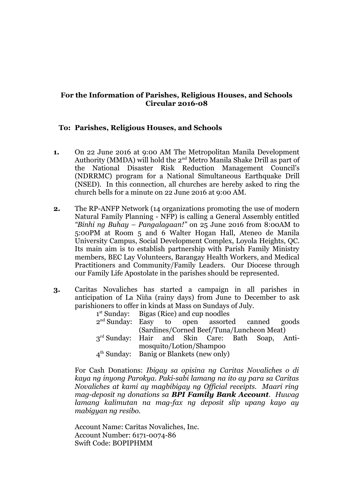## **For the Information of Parishes, Religious Houses, and Schools Circular 2016-08**

## **To: Parishes, Religious Houses, and Schools**

- **1.** On 22 June 2016 at 9:00 AM The Metropolitan Manila Development Authority (MMDA) will hold the 2<sup>nd</sup> Metro Manila Shake Drill as part of the National Disaster Risk Reduction Management Council's (NDRRMC) program for a National Simultaneous Earthquake Drill (NSED). In this connection, all churches are hereby asked to ring the church bells for a minute on 22 June 2016 at 9:00 AM.
- **2.** The RP-ANFP Network (14 organizations promoting the use of modern Natural Family Planning - NFP) is calling a General Assembly entitled *"Binhi ng Buhay – Pangalagaan!"* on 25 June 2016 from 8:00AM to 5:00PM at Room 5 and 6 Walter Hogan Hall, Ateneo de Manila University Campus, Social Development Complex, Loyola Heights, QC. Its main aim is to establish partnership with Parish Family Ministry members, BEC Lay Volunteers, Barangay Health Workers, and Medical Practitioners and Community/Family Leaders. Our Diocese through our Family Life Apostolate in the parishes should be represented.
- **3.** Caritas Novaliches has started a campaign in all parishes in anticipation of La Niña (rainy days) from June to December to ask parishioners to offer in kinds at Mass on Sundays of July.

|                                                              | $1st$ Sunday: Bigas (Rice) and cup noodles |  |  |  |  |  |  |
|--------------------------------------------------------------|--------------------------------------------|--|--|--|--|--|--|
| 2 <sup>nd</sup> Sunday: Easy to open assorted canned goods   |                                            |  |  |  |  |  |  |
|                                                              | (Sardines/Corned Beef/Tuna/Luncheon Meat)  |  |  |  |  |  |  |
| 3 <sup>rd</sup> Sunday: Hair and Skin Care: Bath Soap, Anti- |                                            |  |  |  |  |  |  |
|                                                              | mosquito/Lotion/Shampoo                    |  |  |  |  |  |  |
|                                                              | $4th$ Sunday: Banig or Blankets (new only) |  |  |  |  |  |  |

For Cash Donations: *Ibigay sa opisina ng Caritas Novaliches o di kaya ng inyong Parokya. Paki-sabi lamang na ito ay para sa Caritas Novaliches at kami ay magbibigay ng Official receipts. Maari ring mag-deposit ng donations sa BPI Family Bank Account. Huwag lamang kalimutan na mag-fax ng deposit slip upang kayo ay mabigyan ng resibo.*

Account Name: Caritas Novaliches, Inc. Account Number: 6171-0074-86 Swift Code: BOPIPHMM